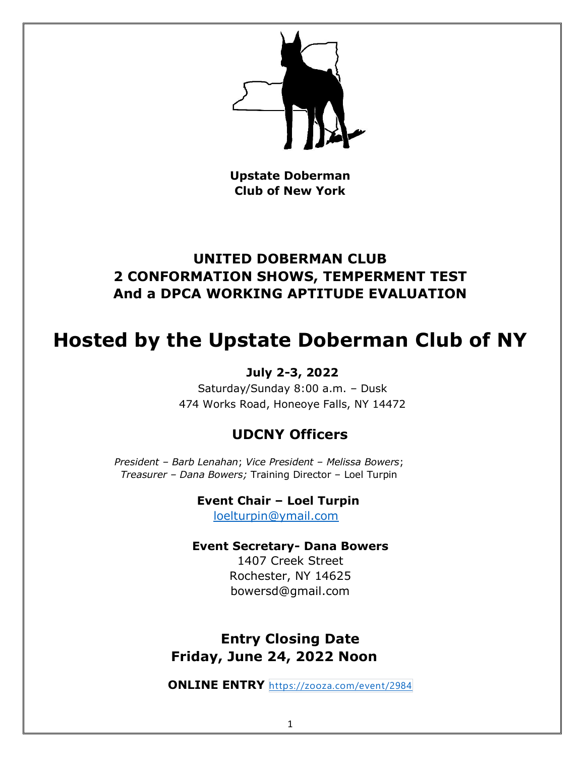

**Upstate Doberman Club of New York**

## **UNITED DOBERMAN CLUB 2 CONFORMATION SHOWS, TEMPERMENT TEST And a DPCA WORKING APTITUDE EVALUATION**

# **Hosted by the Upstate Doberman Club of NY**

## **July 2-3, 2022**

Saturday/Sunday 8:00 a.m. – Dusk 474 Works Road, Honeoye Falls, NY 14472

## **UDCNY Officers**

*President – Barb Lenahan*; *Vice President – Melissa Bowers*; *Treasurer – Dana Bowers;* Training Director – Loel Turpin

> **Event Chair – Loel Turpin** [loelturpin@ymail.com](mailto:loelturpin@ymail.com)

## **Event Secretary- Dana Bowers**

1407 Creek Street Rochester, NY 14625 bowersd@gmail.com

## **Entry Closing Date Friday, June 24, 2022 Noon**

**ONLINE ENTRY** <https://zooza.com/event/2984>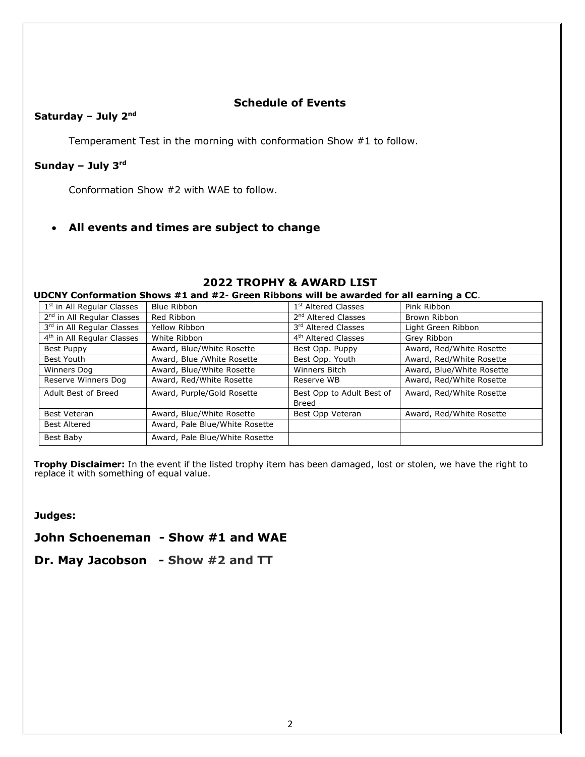### **Schedule of Events**

### **Saturday – July 2nd**

Temperament Test in the morning with conformation Show #1 to follow.

### **Sunday – July 3rd**

Conformation Show #2 with WAE to follow.

### • **All events and times are subject to change**

## **2022 TROPHY & AWARD LIST**

#### **UDCNY Conformation Shows #1 and #2**- **Green Ribbons will be awarded for all earning a CC**.

| 1 <sup>st</sup> in All Regular Classes | Blue Ribbon                    | 1 <sup>st</sup> Altered Classes    | Pink Ribbon               |
|----------------------------------------|--------------------------------|------------------------------------|---------------------------|
| 2 <sup>nd</sup> in All Regular Classes | Red Ribbon                     | 2 <sup>nd</sup> Altered Classes    | Brown Ribbon              |
| 3rd in All Regular Classes             | Yellow Ribbon                  | 3rd Altered Classes                | Light Green Ribbon        |
| 4 <sup>th</sup> in All Regular Classes | White Ribbon                   | 4 <sup>th</sup> Altered Classes    | Grey Ribbon               |
| Best Puppy                             | Award, Blue/White Rosette      | Best Opp. Puppy                    | Award, Red/White Rosette  |
| Best Youth                             | Award, Blue / White Rosette    | Best Opp. Youth                    | Award, Red/White Rosette  |
| Winners Dog                            | Award, Blue/White Rosette      | <b>Winners Bitch</b>               | Award, Blue/White Rosette |
| Reserve Winners Dog                    | Award, Red/White Rosette       | Reserve WB                         | Award, Red/White Rosette  |
| Adult Best of Breed                    | Award, Purple/Gold Rosette     | Best Opp to Adult Best of<br>Breed | Award, Red/White Rosette  |
| <b>Best Veteran</b>                    | Award, Blue/White Rosette      | Best Opp Veteran                   | Award, Red/White Rosette  |
| <b>Best Altered</b>                    | Award, Pale Blue/White Rosette |                                    |                           |
| Best Baby                              | Award, Pale Blue/White Rosette |                                    |                           |

**Trophy Disclaimer:** In the event if the listed trophy item has been damaged, lost or stolen, we have the right to replace it with something of equal value.

**Judges:**

**John Schoeneman - Show #1 and WAE**

**Dr. May Jacobson - Show #2 and TT**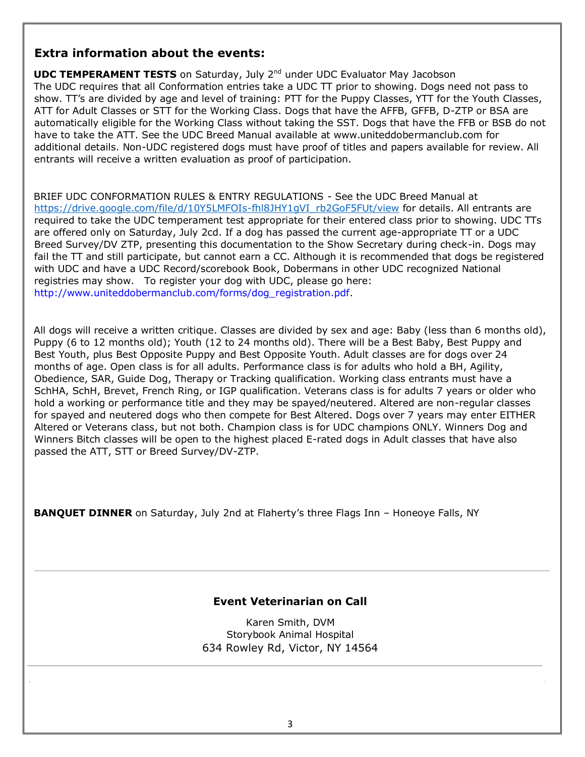## **Extra information about the events:**

**UDC TEMPERAMENT TESTS** on Saturday, July 2<sup>nd</sup> under UDC Evaluator May Jacobson The UDC requires that all Conformation entries take a UDC TT prior to showing. Dogs need not pass to show. TT's are divided by age and level of training: PTT for the Puppy Classes, YTT for the Youth Classes, ATT for Adult Classes or STT for the Working Class. Dogs that have the AFFB, GFFB, D-ZTP or BSA are automatically eligible for the Working Class without taking the SST. Dogs that have the FFB or BSB do not have to take the ATT. See the UDC Breed Manual available at www.uniteddobermanclub.com for additional details. Non-UDC registered dogs must have proof of titles and papers available for review. All entrants will receive a written evaluation as proof of participation.

BRIEF UDC CONFORMATION RULES & ENTRY REGULATIONS - See the UDC Breed Manual at [https://drive.google.com/file/d/10Y5LMFOIs-fhl8JHY1gVI\\_rb2GoF5FUt/view](https://drive.google.com/file/d/10Y5LMFOIs-fhl8JHY1gVI_rb2GoF5FUt/view) for details. All entrants are required to take the UDC temperament test appropriate for their entered class prior to showing. UDC TTs are offered only on Saturday, July 2cd. If a dog has passed the current age-appropriate TT or a UDC Breed Survey/DV ZTP, presenting this documentation to the Show Secretary during check-in. Dogs may fail the TT and still participate, but cannot earn a CC. Although it is recommended that dogs be registered with UDC and have a UDC Record/scorebook Book, Dobermans in other UDC recognized National registries may show. To register your dog with UDC, please go here: [http://www.uniteddobermanclub.com/forms/dog\\_registration.pdf.](http://www.uniteddobermanclub.com/forms/dog_registration.pdf)

All dogs will receive a written critique. Classes are divided by sex and age: Baby (less than 6 months old), Puppy (6 to 12 months old); Youth (12 to 24 months old). There will be a Best Baby, Best Puppy and Best Youth, plus Best Opposite Puppy and Best Opposite Youth. Adult classes are for dogs over 24 months of age. Open class is for all adults. Performance class is for adults who hold a BH, Agility, Obedience, SAR, Guide Dog, Therapy or Tracking qualification. Working class entrants must have a SchHA, SchH, Brevet, French Ring, or IGP qualification. Veterans class is for adults 7 years or older who hold a working or performance title and they may be spayed/neutered. Altered are non-regular classes for spayed and neutered dogs who then compete for Best Altered. Dogs over 7 years may enter EITHER Altered or Veterans class, but not both. Champion class is for UDC champions ONLY. Winners Dog and Winners Bitch classes will be open to the highest placed E-rated dogs in Adult classes that have also passed the ATT, STT or Breed Survey/DV-ZTP.

**BANQUET DINNER** on Saturday, July 2nd at Flaherty's three Flags Inn - Honeoye Falls, NY

### **Event Veterinarian on Call**

Karen Smith, DVM Storybook Animal Hospital 634 Rowley Rd, Victor, NY 14564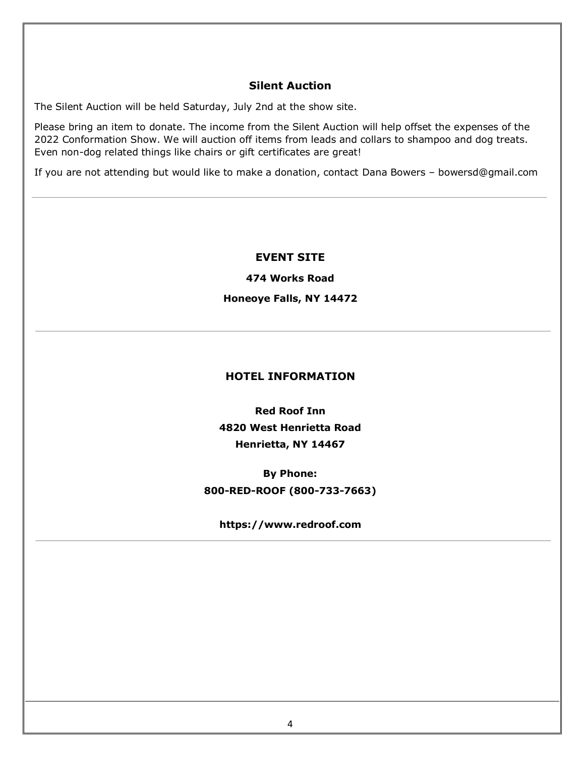## **Silent Auction**

The Silent Auction will be held Saturday, July 2nd at the show site.

Please bring an item to donate. The income from the Silent Auction will help offset the expenses of the 2022 Conformation Show. We will auction off items from leads and collars to shampoo and dog treats. Even non-dog related things like chairs or gift certificates are great!

If you are not attending but would like to make a donation, contact Dana Bowers – bowersd@gmail.com

### **EVENT SITE**

**474 Works Road** 

#### **Honeoye Falls, NY 14472**

#### **HOTEL INFORMATION**

**Red Roof Inn 4820 West Henrietta Road Henrietta, NY 14467** 

**By Phone: 800-RED-ROOF (800-733-7663)** 

**https://www.redroof.com**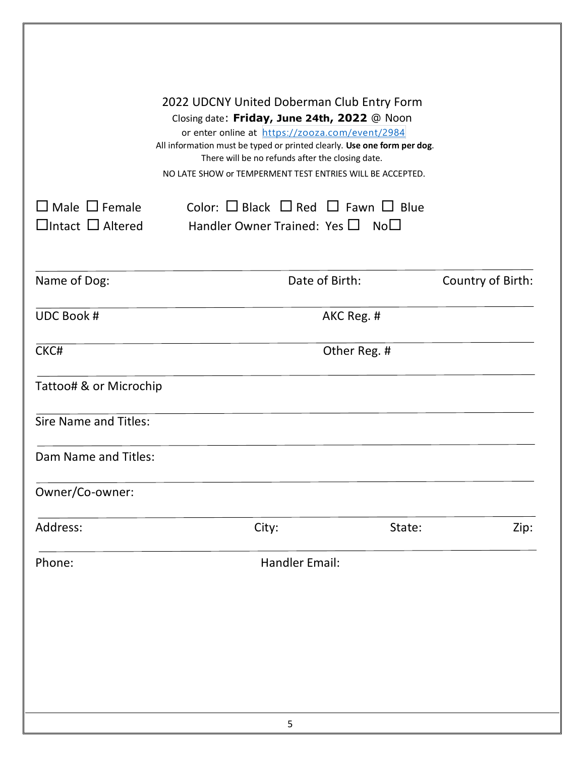| $\Box$ Male $\Box$ Female    | 2022 UDCNY United Doberman Club Entry Form<br>Closing date: Friday, June 24th, 2022 @ Noon<br>or enter online at https://zooza.com/event/2984<br>All information must be typed or printed clearly. Use one form per dog.<br>There will be no refunds after the closing date.<br>NO LATE SHOW or TEMPERMENT TEST ENTRIES WILL BE ACCEPTED.<br>Color: $\Box$ Black $\Box$ Red $\Box$ Fawn $\Box$ Blue |                   |
|------------------------------|-----------------------------------------------------------------------------------------------------------------------------------------------------------------------------------------------------------------------------------------------------------------------------------------------------------------------------------------------------------------------------------------------------|-------------------|
| $\Box$ Intact $\Box$ Altered | Handler Owner Trained: Yes $\square$ No $\square$                                                                                                                                                                                                                                                                                                                                                   |                   |
| Name of Dog:                 | Date of Birth:                                                                                                                                                                                                                                                                                                                                                                                      | Country of Birth: |
| <b>UDC Book #</b>            | AKC Reg. #                                                                                                                                                                                                                                                                                                                                                                                          |                   |
| CKC#                         | Other Reg. #                                                                                                                                                                                                                                                                                                                                                                                        |                   |
| Tattoo# & or Microchip       |                                                                                                                                                                                                                                                                                                                                                                                                     |                   |
| <b>Sire Name and Titles:</b> |                                                                                                                                                                                                                                                                                                                                                                                                     |                   |
| Dam Name and Titles:         |                                                                                                                                                                                                                                                                                                                                                                                                     |                   |
| Owner/Co-owner:              |                                                                                                                                                                                                                                                                                                                                                                                                     |                   |
| Address:                     | City:<br>State:                                                                                                                                                                                                                                                                                                                                                                                     | Zip:              |
| Phone:                       | <b>Handler Email:</b>                                                                                                                                                                                                                                                                                                                                                                               |                   |
|                              |                                                                                                                                                                                                                                                                                                                                                                                                     |                   |
|                              |                                                                                                                                                                                                                                                                                                                                                                                                     |                   |